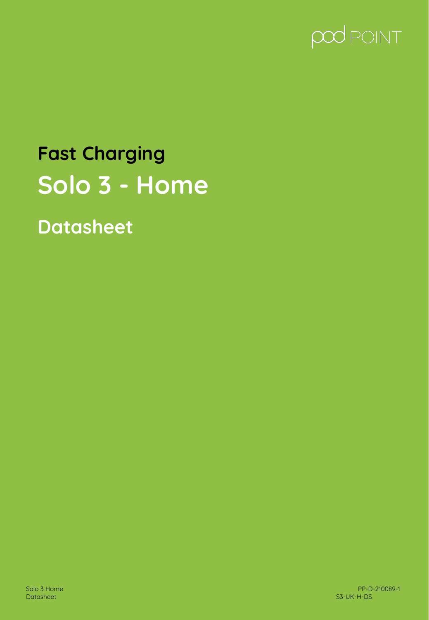

# **Fast Charging Solo 3 - Home**

**Datasheet**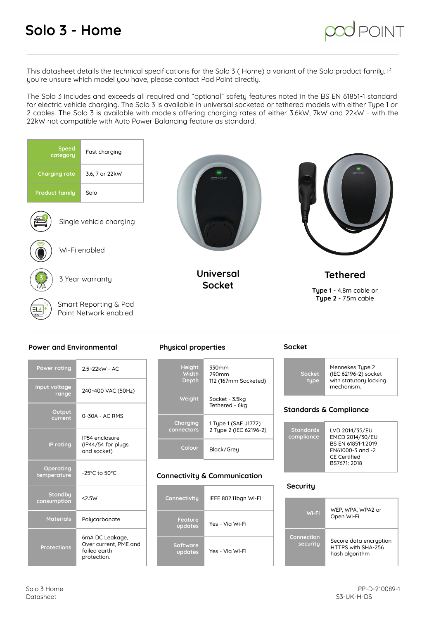# **Solo 3 - Home**



This datasheet details the technical specifications for the Solo 3 ( Home) a variant of the Solo product family. If you're unsure which model you have, please contact Pod Point directly.

The Solo 3 includes and exceeds all required and "optional" safety features noted in the BS EN 61851-1 standard for electric vehicle charging. The Solo 3 is available in universal socketed or tethered models with either Type 1 or 2 cables. The Solo 3 is available with models offering charging rates of either 3.6kW, 7kW and 22kW - with the 22kW not compatible with Auto Power Balancing feature as standard.



### **Power and Environmental**

| <b>Power rating</b>      | 2.5~22kW - AC                                                           |  |  |  |  |
|--------------------------|-------------------------------------------------------------------------|--|--|--|--|
| Input voltage<br>range   | 240~400 VAC (50Hz)                                                      |  |  |  |  |
| Output<br>current        | $0-30A - AC RMS$                                                        |  |  |  |  |
| <b>IP</b> rating         | IP54 enclosure<br>(IP44/54 for plugs<br>and socket)                     |  |  |  |  |
| Operating<br>temperature | -25°C to 50°C                                                           |  |  |  |  |
| Standby<br>consumption   | < 2.5W                                                                  |  |  |  |  |
| <b>Materials</b>         | Polycarbonate                                                           |  |  |  |  |
| <b>Protections</b>       | 6mA DC Leakage,<br>Over current, PME and<br>failed earth<br>protection. |  |  |  |  |

### **Physical properties**

| <b>Height</b> | 330mm                            |
|---------------|----------------------------------|
| Width         | 290mm                            |
| <b>Depth</b>  | 112 (167mm Socketed)             |
| Weight        | Socket - 3.5kg<br>Tethered - 6ka |
| Charging      | 1 Tupe 1 (SAE J1772)             |
| connectors    | 2 Tupe 2 (IEC 62196-2)           |
| Colour        | Black/Grey                       |

### **Connectivity & Communication**

| Connectivity        | IEEE 802.11bgn Wi-Fi |  |
|---------------------|----------------------|--|
| Feature<br>updates  | Yes - Via Wi-Fi      |  |
| Software<br>updates | Yes - Via Wi-Fi      |  |

### **Socket**

| Socket<br>tupe | Mennekes Tupe 2<br>(IEC 62196-2) socket<br>with statutory locking<br>mechanism. |
|----------------|---------------------------------------------------------------------------------|
|                |                                                                                 |

### **Standards & Compliance**

| <b>Standards</b><br>compliance | LVD 2014/35/EU<br>EMCD 2014/30/EU<br>BS EN 61851-1:2019<br>EN61000-3 and -2<br><b>CE Certified</b> |
|--------------------------------|----------------------------------------------------------------------------------------------------|
|                                | BS7671: 2018                                                                                       |

### **Security**

| Wi-Fi                  | WEP, WPA, WPA2 or<br>Open Wi-Fi                                |  |
|------------------------|----------------------------------------------------------------|--|
| Connection<br>securitu | Secure data encruption<br>HTTPS with SHA-256<br>hash algorithm |  |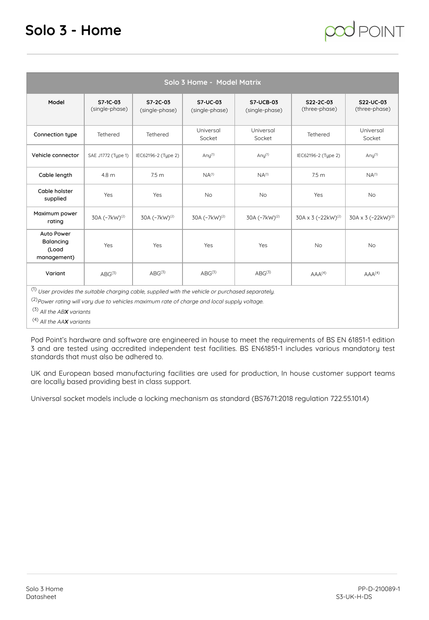## **Solo 3 - Home**

| Solo 3 Home - Model Matrix                                                                                                                                                                                                                                              |                            |                            |                            |                                    |                                |                                |
|-------------------------------------------------------------------------------------------------------------------------------------------------------------------------------------------------------------------------------------------------------------------------|----------------------------|----------------------------|----------------------------|------------------------------------|--------------------------------|--------------------------------|
| Model                                                                                                                                                                                                                                                                   | S7-1C-03<br>(single-phase) | S7-2C-03<br>(single-phase) | S7-UC-03<br>(single-phase) | <b>S7-UCB-03</b><br>(single-phase) | S22-2C-03<br>(three-phase)     | S22-UC-03<br>(three-phase)     |
| Connection type                                                                                                                                                                                                                                                         | Tethered                   | Tethered                   | Universal<br>Socket        | Universal<br>Socket                | Tethered                       | Universal<br>Socket            |
| Vehicle connector                                                                                                                                                                                                                                                       | SAE J1772 (Tupe 1)         | IEC62196-2 (Tupe 2)        | Any $(1)$                  | Any $(1)$                          | IEC62196-2 (Tupe 2)            | Any $(1)$                      |
| Cable length                                                                                                                                                                                                                                                            | 4.8 m                      | 7.5 <sub>m</sub>           | $NA^{(1)}$                 | $NA^{(1)}$                         | 7.5 <sub>m</sub>               | $NA^{(1)}$                     |
| Cable holster<br>supplied                                                                                                                                                                                                                                               | Yes                        | Yes                        | <b>No</b>                  | <b>No</b>                          | Yes                            | <b>No</b>                      |
| Maximum power<br>rating                                                                                                                                                                                                                                                 | 30A (~7kW) <sup>(2)</sup>  | 30A (~7kW) <sup>(2)</sup>  | 30A (~7kW) <sup>(2)</sup>  | 30A (~7kW) <sup>(2)</sup>          | 30A x 3 (~22kW) <sup>(2)</sup> | 30A x 3 (~22kW) <sup>(2)</sup> |
| Auto Power<br>Balancing<br>(Load<br>management)                                                                                                                                                                                                                         | Yes                        | Yes                        | Yes                        | Yes                                | <b>No</b>                      | <b>No</b>                      |
| Variant                                                                                                                                                                                                                                                                 | $ABG^{(3)}$                | $ABG^{(3)}$                | $ABG^{(3)}$                | $ABC^{(3)}$                        | AAA <sup>(4)</sup>             | AAA <sup>(4)</sup>             |
| (1) User provides the suitable charging cable, supplied with the vehicle or purchased separately.<br><sup>(2)</sup> Power rating will vary due to vehicles maximum rate of charge and local supply voltage.<br>$(3)$ All the ABX variants<br>$(4)$ All the AAX variants |                            |                            |                            |                                    |                                |                                |

Pod Point's hardware and software are engineered in house to meet the requirements of BS EN 61851-1 edition 3 and are tested using accredited independent test facilities. BS EN61851-1 includes various mandatory test standards that must also be adhered to.

UK and European based manufacturing facilities are used for production, In house customer support teams are locally based providing best in class support.

Universal socket models include a locking mechanism as standard (BS7671:2018 regulation 722.55.101.4)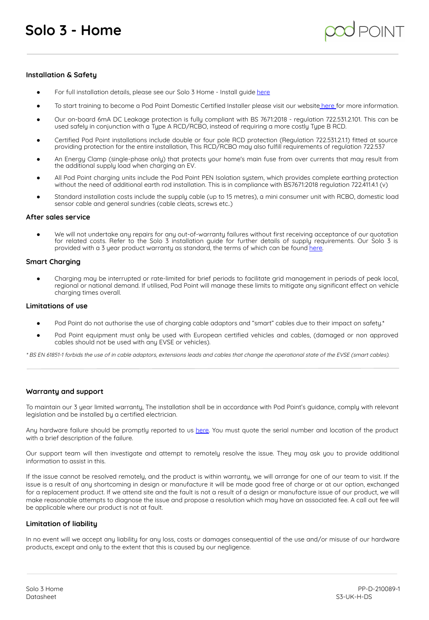### **Installation & Safety**

- For full installation details, please see our Solo 3 Home Install guide [here](https://pod-point.com/technical/installation)
- To start training to become a Pod Point Domestic Certified Installer please visit our website [here](https://pod-point.com/products/installer/domestic-install-training) for more information.
- Our on-board 6mA DC Leakage protection is fully compliant with BS 7671:2018 regulation 722.531.2.101. This can be used safely in conjunction with a Type A RCD/RCBO, instead of requiring a more costly Type B RCD.
- Certified Pod Point installations include double or four pole RCD protection (Regulation 722.531.2.1.1) fitted at source providing protection for the entire installation, This RCD/RCBO may also fulfill requirements of regulation 722.537
- An Energy Clamp (single-phase only) that protects your home's main fuse from over currents that may result from the additional supply load when charging an EV.
- All Pod Point charging units include the Pod Point PEN Isolation system, which provides complete earthing protection without the need of additional earth rod installation. This is in compliance with BS7671:2018 regulation 722.411.4.1 (v)
- Standard installation costs include the supply cable (up to 15 metres), a mini consumer unit with RCBO, domestic load sensor cable and general sundries (cable cleats, screws etc..)

#### **After sales service**

We will not undertake any repairs for any out-of-warranty failures without first receiving acceptance of our quotation for related costs. Refer to the Solo 3 installation guide for further details of supply requirements. Our Solo 3 is provided with a 3 year product warranty as standard, the terms of which can be found [here.](https://pod-point.com/general-terms-and-conditions)

### **Smart Charging**

Charging may be interrupted or rate-limited for brief periods to facilitate grid management in periods of peak local, regional or national demand. If utilised, Pod Point will manage these limits to mitigate any significant effect on vehicle charging times overall.

### **Limitations of use**

- Pod Point do not authorise the use of charging cable adaptors and "smart" cables due to their impact on safety.\*
- Pod Point equipment must only be used with European certified vehicles and cables, (damaged or non approved cables should not be used with any EVSE or vehicles).

\* BS EN 61851-1 forbids the use of in cable adaptors, extensions leads and cables that change the operational state of the EVSE (smart cables).

### **Warranty and support**

To maintain our 3 year limited warranty, The installation shall be in accordance with Pod Point's guidance, comply with relevant legislation and be installed by a certified electrician.

Any hardware failure should be promptly reported to us [here](https://pod-point.com/contact-us). You must quote the serial number and location of the product with a brief description of the failure.

Our support team will then investigate and attempt to remotely resolve the issue. They may ask you to provide additional information to assist in this.

If the issue cannot be resolved remotely, and the product is within warranty, we will arrange for one of our team to visit. If the issue is a result of any shortcoming in design or manufacture it will be made good free of charge or at our option, exchanged for a replacement product. If we attend site and the fault is not a result of a design or manufacture issue of our product, we will make reasonable attempts to diagnose the issue and propose a resolution which may have an associated fee. A call out fee will be applicable where our product is not at fault.

### **Limitation of liability**

In no event will we accept any liability for any loss, costs or damages consequential of the use and/or misuse of our hardware products, except and only to the extent that this is caused by our negligence.